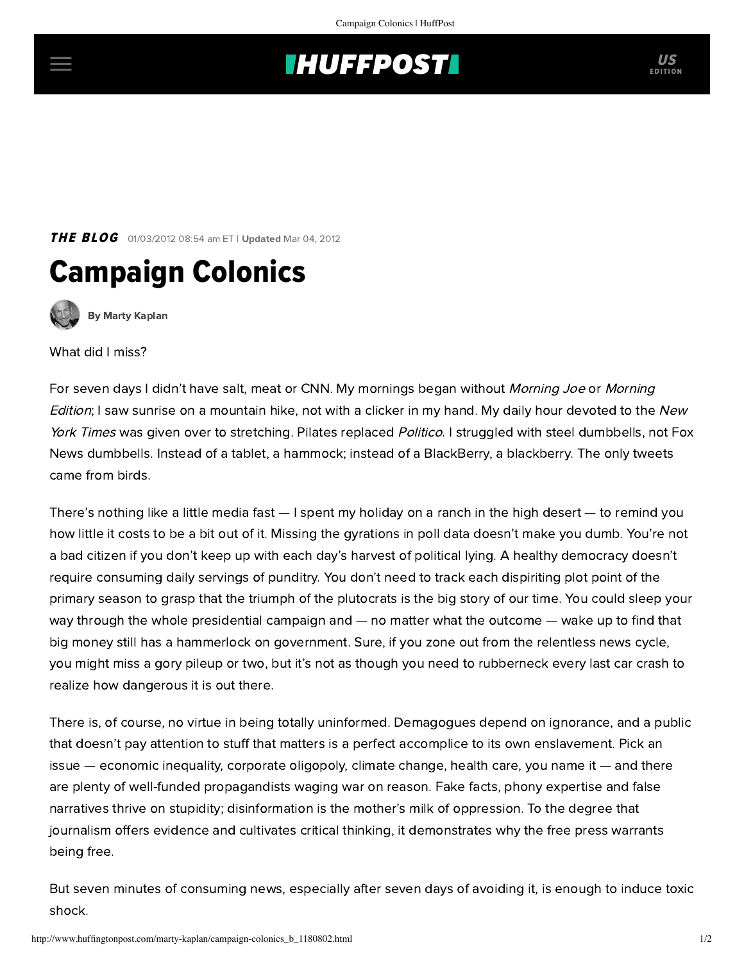## **INUFFPOSTI** US

**THE BLOG** 01/03/2012 08:54 am ET | Updated Mar 04, 2012





[By Marty Kaplan](http://www.huffingtonpost.com/author/marty-kaplan)

What did I miss?

For seven days I didn't have salt, meat or CNN. My mornings began without Morning Joe or Morning Edition; I saw sunrise on a mountain hike, not with a clicker in my hand. My daily hour devoted to the New York Times was given over to stretching. Pilates replaced *Politico*. I struggled with steel dumbbells, not Fox News dumbbells. Instead of a tablet, a hammock; instead of a BlackBerry, a blackberry. The only tweets came from birds.

There's nothing like a little media fast — I spent my holiday on a ranch in the high desert — to remind you how little it costs to be a bit out of it. Missing the gyrations in poll data doesn't make you dumb. You're not a bad citizen if you don't keep up with each day's harvest of political lying. A healthy democracy doesn't require consuming daily servings of punditry. You don't need to track each dispiriting plot point of the primary season to grasp that the triumph of the plutocrats is the big story of our time. You could sleep your way through the whole presidential campaign and — no matter what the outcome — wake up to find that big money still has a hammerlock on government. Sure, if you zone out from the relentless news cycle, you might miss a gory pileup or two, but it's not as though you need to rubberneck every last car crash to realize how dangerous it is out there.

There is, of course, no virtue in being totally uninformed. Demagogues depend on ignorance, and a public that doesn't pay attention to stuff that matters is a perfect accomplice to its own enslavement. Pick an issue — economic inequality, corporate oligopoly, climate change, health care, you name it — and there are plenty of well-funded propagandists waging war on reason. Fake facts, phony expertise and false narratives thrive on stupidity; disinformation is the mother's milk of oppression. To the degree that journalism offers evidence and cultivates critical thinking, it demonstrates why the free press warrants being free.

But seven minutes of consuming news, especially after seven days of avoiding it, is enough to induce toxic shock.